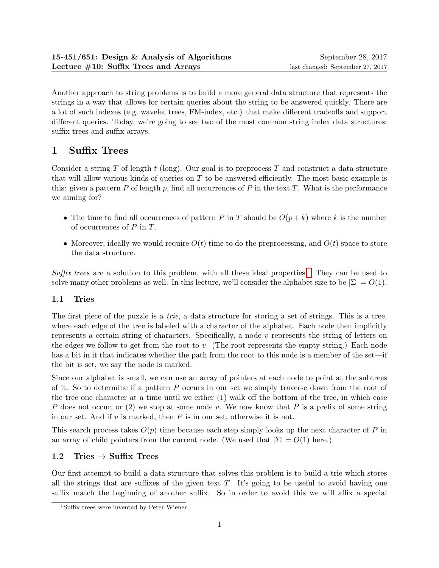Another approach to string problems is to build a more general data structure that represents the strings in a way that allows for certain queries about the string to be answered quickly. There are a lot of such indexes (e.g. wavelet trees, FM-index, etc.) that make different tradeoffs and support different queries. Today, we're going to see two of the most common string index data structures: suffix trees and suffix arrays.

# 1 Suffix Trees

Consider a string T of length t (long). Our goal is to preprocess T and construct a data structure that will allow various kinds of queries on T to be answered efficiently. The most basic example is this: given a pattern P of length p, find all occurrences of P in the text T. What is the performance we aiming for?

- The time to find all occurrences of pattern P in T should be  $O(p+k)$  where k is the number of occurrences of  $P$  in  $T$ .
- Moreover, ideally we would require  $O(t)$  time to do the preprocessing, and  $O(t)$  space to store the data structure.

Suffix trees are a solution to this problem, with all these ideal properties.<sup>[1](#page-0-0)</sup> They can be used to solve many other problems as well. In this lecture, we'll consider the alphabet size to be  $|\Sigma| = O(1)$ .

## 1.1 Tries

The first piece of the puzzle is a *trie*, a data structure for storing a set of strings. This is a tree, where each edge of the tree is labeled with a character of the alphabet. Each node then implicitly represents a certain string of characters. Specifically, a node v represents the string of letters on the edges we follow to get from the root to v. (The root represents the empty string.) Each node has a bit in it that indicates whether the path from the root to this node is a member of the set—if the bit is set, we say the node is marked.

Since our alphabet is small, we can use an array of pointers at each node to point at the subtrees of it. So to determine if a pattern P occurs in our set we simply traverse down from the root of the tree one character at a time until we either (1) walk off the bottom of the tree, in which case P does not occur, or (2) we stop at some node v. We now know that P is a prefix of some string in our set. And if  $v$  is marked, then  $P$  is in our set, otherwise it is not.

This search process takes  $O(p)$  time because each step simply looks up the next character of P in an array of child pointers from the current node. (We used that  $|\Sigma| = O(1)$  here.)

## 1.2 Tries  $\rightarrow$  Suffix Trees

Our first attempt to build a data structure that solves this problem is to build a trie which stores all the strings that are suffixes of the given text  $T$ . It's going to be useful to avoid having one suffix match the beginning of another suffix. So in order to avoid this we will affix a special

<span id="page-0-0"></span><sup>1</sup>Suffix trees were invented by Peter Wiener.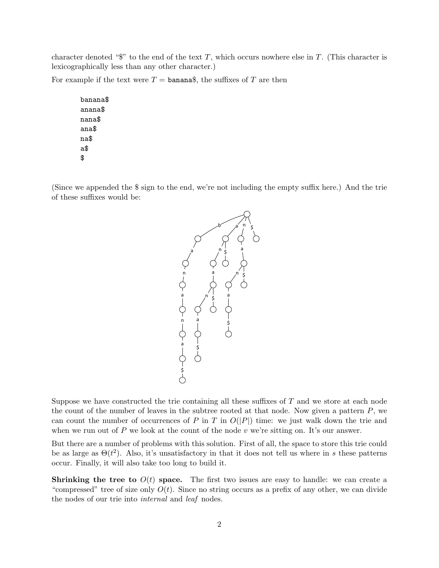character denoted " $\mathcal{F}$ " to the end of the text T, which occurs nowhere else in T. (This character is lexicographically less than any other character.)

For example if the text were  $T = \text{banana}\$ , the suffixes of T are then

banana\$ anana\$ nana\$ ana\$ na\$ a\$ \$

(Since we appended the \$ sign to the end, we're not including the empty suffix here.) And the trie of these suffixes would be:



Suppose we have constructed the trie containing all these suffixes of  $T$  and we store at each node the count of the number of leaves in the subtree rooted at that node. Now given a pattern  $P$ , we can count the number of occurrences of P in T in  $O(|P|)$  time: we just walk down the trie and when we run out of  $P$  we look at the count of the node  $v$  we're sitting on. It's our answer.

But there are a number of problems with this solution. First of all, the space to store this trie could be as large as  $\Theta(t^2)$ . Also, it's unsatisfactory in that it does not tell us where in s these patterns occur. Finally, it will also take too long to build it.

**Shrinking the tree to**  $O(t)$  space. The first two issues are easy to handle: we can create a "compressed" tree of size only  $O(t)$ . Since no string occurs as a prefix of any other, we can divide the nodes of our trie into internal and leaf nodes.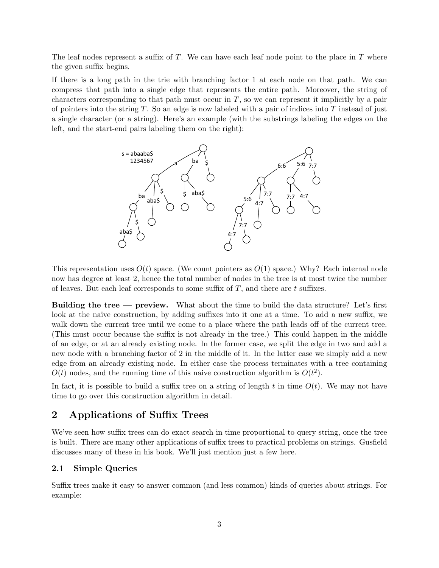The leaf nodes represent a suffix of  $T$ . We can have each leaf node point to the place in  $T$  where the given suffix begins.

If there is a long path in the trie with branching factor 1 at each node on that path. We can compress that path into a single edge that represents the entire path. Moreover, the string of characters corresponding to that path must occur in  $T$ , so we can represent it implicitly by a pair of pointers into the string  $T$ . So an edge is now labeled with a pair of indices into  $T$  instead of just a single character (or a string). Here's an example (with the substrings labeling the edges on the left, and the start-end pairs labeling them on the right):



This representation uses  $O(t)$  space. (We count pointers as  $O(1)$  space.) Why? Each internal node now has degree at least 2, hence the total number of nodes in the tree is at most twice the number of leaves. But each leaf corresponds to some suffix of  $T$ , and there are  $t$  suffixes.

Building the tree — preview. What about the time to build the data structure? Let's first look at the naïve construction, by adding suffixes into it one at a time. To add a new suffix, we walk down the current tree until we come to a place where the path leads off of the current tree. (This must occur because the suffix is not already in the tree.) This could happen in the middle of an edge, or at an already existing node. In the former case, we split the edge in two and add a new node with a branching factor of 2 in the middle of it. In the latter case we simply add a new edge from an already existing node. In either case the process terminates with a tree containing  $O(t)$  nodes, and the running time of this naive construction algorithm is  $O(t^2)$ .

In fact, it is possible to build a suffix tree on a string of length t in time  $O(t)$ . We may not have time to go over this construction algorithm in detail.

# 2 Applications of Suffix Trees

We've seen how suffix trees can do exact search in time proportional to query string, once the tree is built. There are many other applications of suffix trees to practical problems on strings. Gusfield discusses many of these in his book. We'll just mention just a few here.

#### 2.1 Simple Queries

Suffix trees make it easy to answer common (and less common) kinds of queries about strings. For example: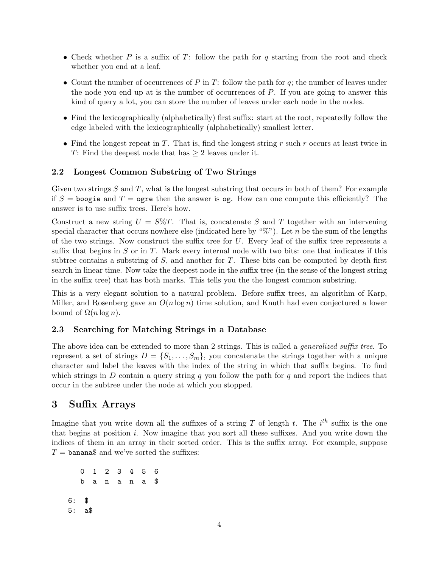- Check whether P is a suffix of T: follow the path for q starting from the root and check whether you end at a leaf.
- Count the number of occurrences of P in T: follow the path for  $q$ ; the number of leaves under the node you end up at is the number of occurrences of  $P$ . If you are going to answer this kind of query a lot, you can store the number of leaves under each node in the nodes.
- Find the lexicographically (alphabetically) first suffix: start at the root, repeatedly follow the edge labeled with the lexicographically (alphabetically) smallest letter.
- Find the longest repeat in T. That is, find the longest string r such r occurs at least twice in T: Find the deepest node that has  $\geq 2$  leaves under it.

#### 2.2 Longest Common Substring of Two Strings

Given two strings  $S$  and  $T$ , what is the longest substring that occurs in both of them? For example if  $S =$  boogie and  $T =$  ogre then the answer is og. How can one compute this efficiently? The answer is to use suffix trees. Here's how.

Construct a new string  $U = S\%T$ . That is, concatenate S and T together with an intervening special character that occurs nowhere else (indicated here by " $\mathcal{C}$ "). Let n be the sum of the lengths of the two strings. Now construct the suffix tree for  $U$ . Every leaf of the suffix tree represents a suffix that begins in  $S$  or in  $T$ . Mark every internal node with two bits: one that indicates if this subtree contains a substring of  $S$ , and another for  $T$ . These bits can be computed by depth first search in linear time. Now take the deepest node in the suffix tree (in the sense of the longest string in the suffix tree) that has both marks. This tells you the the longest common substring.

This is a very elegant solution to a natural problem. Before suffix trees, an algorithm of Karp, Miller, and Rosenberg gave an  $O(n \log n)$  time solution, and Knuth had even conjectured a lower bound of  $\Omega(n \log n)$ .

#### 2.3 Searching for Matching Strings in a Database

The above idea can be extended to more than 2 strings. This is called a *generalized suffix tree*. To represent a set of strings  $D = \{S_1, \ldots, S_m\}$ , you concatenate the strings together with a unique character and label the leaves with the index of the string in which that suffix begins. To find which strings in D contain a query string q you follow the path for q and report the indices that occur in the subtree under the node at which you stopped.

### 3 Suffix Arrays

Imagine that you write down all the suffixes of a string T of length t. The  $i^{th}$  suffix is the one that begins at position i. Now imagine that you sort all these suffixes. And you write down the indices of them in an array in their sorted order. This is the suffix array. For example, suppose  $T = \text{banana}\$  and we've sorted the suffixes:

0 1 2 3 4 5 6 b a n a n a \$ 6: \$ 5: a\$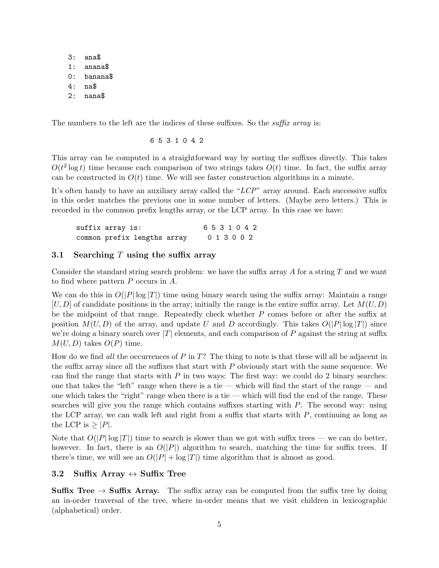3: ana\$ 1: anana\$ 0: banana\$ 4: na\$ 2: nana\$

The numbers to the left are the indices of these suffixes. So the *suffix array* is:

6 5 3 1 0 4 2

This array can be computed in a straightforward way by sorting the suffixes directly. This takes  $O(t^2 \log t)$  time because each comparison of two strings takes  $O(t)$  time. In fact, the suffix array can be constructed in  $O(t)$  time. We will see faster construction algorithms in a minute.

It's often handy to have an auxiliary array called the "LCP" array around. Each successive suffix in this order matches the previous one in some number of letters. (Maybe zero letters.) This is recorded in the common prefix lengths array, or the LCP array. In this case we have:

suffix array is: 6 5 3 1 0 4 2 common prefix lengths array 0 1 3 0 0 2

#### 3.1 Searching T using the suffix array

Consider the standard string search problem: we have the suffix array  $A$  for a string  $T$  and we want to find where pattern P occurs in A.

We can do this in  $O(|P| \log |T|)$  time using binary search using the suffix array: Maintain a range  $[U, D]$  of candidate positions in the array; initially the range is the entire suffix array. Let  $M(U, D)$ be the midpoint of that range. Repeatedly check whether P comes before or after the suffix at position  $M(U, D)$  of the array, and update U and D accordingly. This takes  $O(|P| \log |T|)$  since we're doing a binary search over  $|T|$  elements, and each comparison of P against the string at suffix  $M(U, D)$  takes  $O(P)$  time.

How do we find *all* the occurrences of  $P$  in  $T$ ? The thing to note is that these will all be adjacent in the suffix array since all the suffixes that start with  $P$  obviously start with the same sequence. We can find the range that starts with  $P$  in two ways: The first way: we could do 2 binary searches: one that takes the "left" range when there is a tie — which will find the start of the range — and one which takes the "right" range when there is a tie — which will find the end of the range. These searches will give you the range which contains suffixes starting with P. The second way: using the LCP array, we can walk left and right from a suffix that starts with  $P$ , continuing as long as the LCP is  $\geq$  |P|.

Note that  $O(|P|\log |T|)$  time to search is slower than we got with suffix trees — we can do better, however. In fact, there is an  $O(|P|)$  algorithm to search, matching the time for suffix trees. If there's time, we will see an  $O(|P| + \log |T|)$  time algorithm that is almost as good.

#### 3.2 Suffix Array  $\leftrightarrow$  Suffix Tree

**Suffix Tree**  $\rightarrow$  **Suffix Array.** The suffix array can be computed from the suffix tree by doing an in-order traversal of the tree, where in-order means that we visit children in lexicographic (alphabetical) order.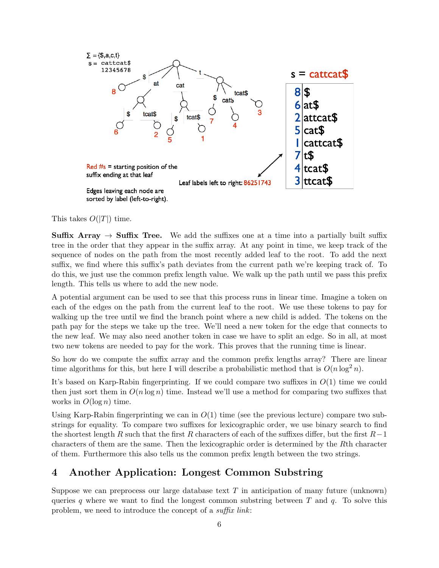

This takes  $O(|T|)$  time.

**Suffix Array**  $\rightarrow$  **Suffix Tree.** We add the suffixes one at a time into a partially built suffix tree in the order that they appear in the suffix array. At any point in time, we keep track of the sequence of nodes on the path from the most recently added leaf to the root. To add the next suffix, we find where this suffix's path deviates from the current path we're keeping track of. To do this, we just use the common prefix length value. We walk up the path until we pass this prefix length. This tells us where to add the new node.

A potential argument can be used to see that this process runs in linear time. Imagine a token on each of the edges on the path from the current leaf to the root. We use these tokens to pay for walking up the tree until we find the branch point where a new child is added. The tokens on the path pay for the steps we take up the tree. We'll need a new token for the edge that connects to the new leaf. We may also need another token in case we have to split an edge. So in all, at most two new tokens are needed to pay for the work. This proves that the running time is linear.

So how do we compute the suffix array and the common prefix lengths array? There are linear time algorithms for this, but here I will describe a probabilistic method that is  $O(n \log^2 n)$ .

It's based on Karp-Rabin fingerprinting. If we could compare two suffixes in  $O(1)$  time we could then just sort them in  $O(n \log n)$  time. Instead we'll use a method for comparing two suffixes that works in  $O(\log n)$  time.

Using Karp-Rabin fingerprinting we can in  $O(1)$  time (see the previous lecture) compare two substrings for equality. To compare two suffixes for lexicographic order, we use binary search to find the shortest length R such that the first R characters of each of the suffixes differ, but the first  $R-1$ characters of them are the same. Then the lexicographic order is determined by the Rth character of them. Furthermore this also tells us the common prefix length between the two strings.

## 4 Another Application: Longest Common Substring

Suppose we can preprocess our large database text  $T$  in anticipation of many future (unknown) queries q where we want to find the longest common substring between  $T$  and  $q$ . To solve this problem, we need to introduce the concept of a suffix link: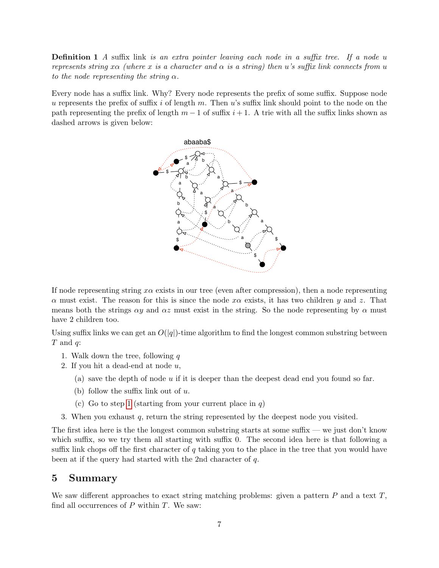**Definition 1** A suffix link is an extra pointer leaving each node in a suffix tree. If a node u represents string x $\alpha$  (where x is a character and  $\alpha$  is a string) then u's suffix link connects from u to the node representing the string  $\alpha$ .

Every node has a suffix link. Why? Every node represents the prefix of some suffix. Suppose node u represents the prefix of suffix i of length m. Then u's suffix link should point to the node on the path representing the prefix of length  $m-1$  of suffix  $i+1$ . A trie with all the suffix links shown as dashed arrows is given below:



If node representing string  $x\alpha$  exists in our tree (even after compression), then a node representing  $\alpha$  must exist. The reason for this is since the node  $x\alpha$  exists, it has two children y and z. That means both the strings  $\alpha y$  and  $\alpha z$  must exist in the string. So the node representing by  $\alpha$  must have 2 children too.

Using suffix links we can get an  $O(|q|)$ -time algorithm to find the longest common substring between  $T$  and  $q$ :

- <span id="page-6-0"></span>1. Walk down the tree, following  $q$
- 2. If you hit a dead-end at node  $u$ ,
	- (a) save the depth of node u if it is deeper than the deepest dead end you found so far.
	- (b) follow the suffix link out of  $u$ .
	- (c) Go to step [1](#page-6-0) (starting from your current place in  $q$ )
- 3. When you exhaust q, return the string represented by the deepest node you visited.

The first idea here is the the longest common substring starts at some suffix — we just don't know which suffix, so we try them all starting with suffix 0. The second idea here is that following a suffix link chops off the first character of  $q$  taking you to the place in the tree that you would have been at if the query had started with the 2nd character of q.

### 5 Summary

We saw different approaches to exact string matching problems: given a pattern  $P$  and a text  $T$ , find all occurrences of  $P$  within  $T$ . We saw: